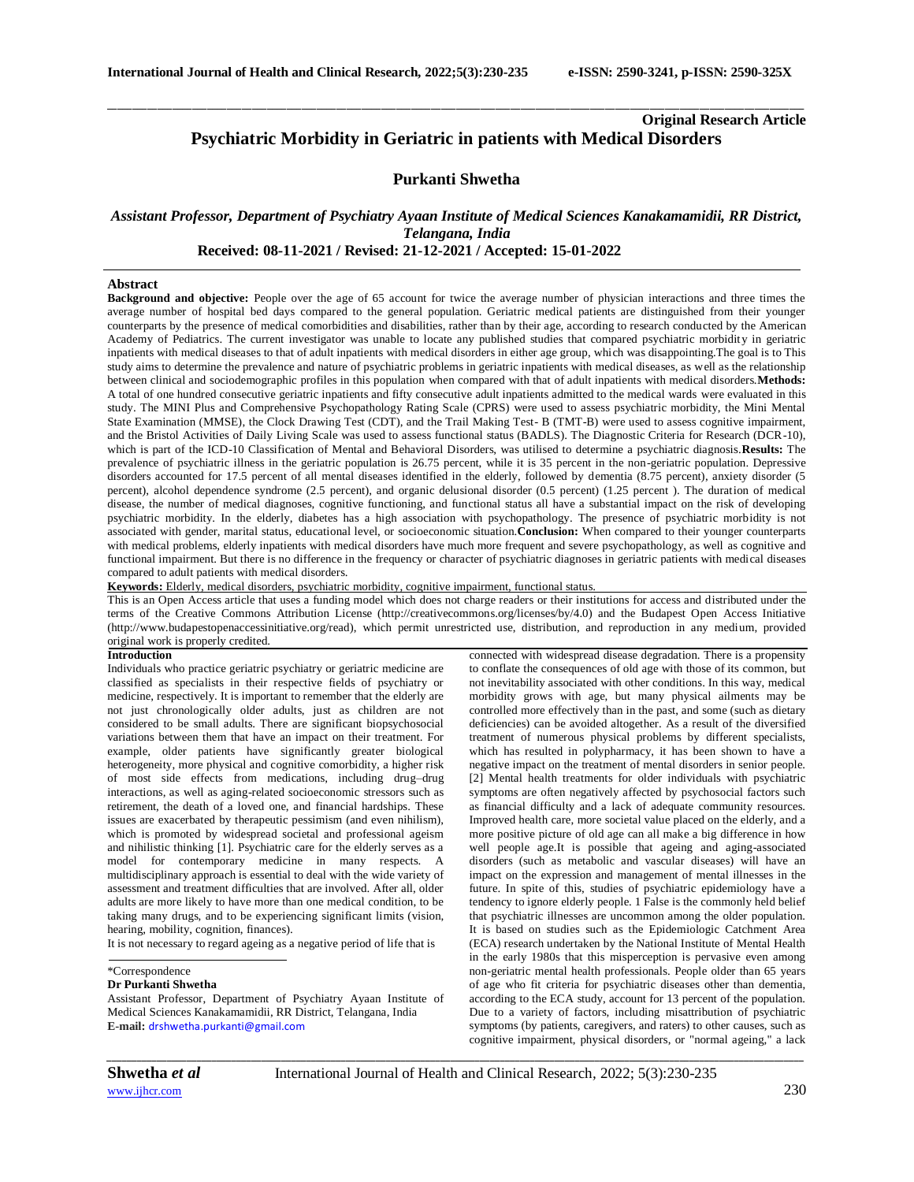# **Original Research Article Psychiatric Morbidity in Geriatric in patients with Medical Disorders**

# **Purkanti Shwetha**

\_\_\_\_\_\_\_\_\_\_\_\_\_\_\_\_\_\_\_\_\_\_\_\_\_\_\_\_\_\_\_\_\_\_\_\_\_\_\_\_\_\_\_\_\_\_\_\_\_\_\_\_\_\_\_\_\_\_\_\_\_\_\_\_\_\_\_\_\_\_\_\_\_\_\_\_\_\_\_\_\_\_\_\_\_\_\_\_\_\_\_\_\_\_\_\_\_\_\_\_\_\_\_\_\_\_\_\_\_\_\_\_\_\_\_\_\_\_\_\_\_\_\_\_\_\_\_\_\_\_\_\_\_\_\_\_\_\_\_\_

# *Assistant Professor, Department of Psychiatry Ayaan Institute of Medical Sciences Kanakamamidii, RR District, Telangana, India*  **Received: 08-11-2021 / Revised: 21-12-2021 / Accepted: 15-01-2022**

# **Abstract**

**Background and objective:** People over the age of 65 account for twice the average number of physician interactions and three times the average number of hospital bed days compared to the general population. Geriatric medical patients are distinguished from their younger counterparts by the presence of medical comorbidities and disabilities, rather than by their age, according to research conducted by the American Academy of Pediatrics. The current investigator was unable to locate any published studies that compared psychiatric morbidity in geriatric inpatients with medical diseases to that of adult inpatients with medical disorders in either age group, which was disappointing.The goal is to This study aims to determine the prevalence and nature of psychiatric problems in geriatric inpatients with medical diseases, as well as the relationship between clinical and sociodemographic profiles in this population when compared with that of adult inpatients with medical disorders.**Methods:**  A total of one hundred consecutive geriatric inpatients and fifty consecutive adult inpatients admitted to the medical wards were evaluated in this study. The MINI Plus and Comprehensive Psychopathology Rating Scale (CPRS) were used to assess psychiatric morbidity, the Mini Mental State Examination (MMSE), the Clock Drawing Test (CDT), and the Trail Making Test- B (TMT-B) were used to assess cognitive impairment, and the Bristol Activities of Daily Living Scale was used to assess functional status (BADLS). The Diagnostic Criteria for Research (DCR-10), which is part of the ICD-10 Classification of Mental and Behavioral Disorders, was utilised to determine a psychiatric diagnosis.**Results:** The prevalence of psychiatric illness in the geriatric population is 26.75 percent, while it is 35 percent in the non-geriatric population. Depressive disorders accounted for 17.5 percent of all mental diseases identified in the elderly, followed by dementia (8.75 percent), anxiety disorder (5 percent), alcohol dependence syndrome (2.5 percent), and organic delusional disorder (0.5 percent) (1.25 percent). The duration of medical disease, the number of medical diagnoses, cognitive functioning, and functional status all have a substantial impact on the risk of developing psychiatric morbidity. In the elderly, diabetes has a high association with psychopathology. The presence of psychiatric morbidity is not associated with gender, marital status, educational level, or socioeconomic situation.**Conclusion:** When compared to their younger counterparts with medical problems, elderly inpatients with medical disorders have much more frequent and severe psychopathology, as well as cognitive and functional impairment. But there is no difference in the frequency or character of psychiatric diagnoses in geriatric patients with medical diseases compared to adult patients with medical disorders.

**Keywords:** Elderly, medical disorders, psychiatric morbidity, cognitive impairment, functional status.

This is an Open Access article that uses a funding model which does not charge readers or their institutions for access and distributed under the terms of the Creative Commons Attribution License (http://creativecommons.org/licenses/by/4.0) and the Budapest Open Access Initiative (http://www.budapestopenaccessinitiative.org/read), which permit unrestricted use, distribution, and reproduction in any medium, provided original work is properly credited.

# **Introduction**

Individuals who practice geriatric psychiatry or geriatric medicine are classified as specialists in their respective fields of psychiatry or medicine, respectively. It is important to remember that the elderly are not just chronologically older adults, just as children are not considered to be small adults. There are significant biopsychosocial variations between them that have an impact on their treatment. For example, older patients have significantly greater biological heterogeneity, more physical and cognitive comorbidity, a higher risk of most side effects from medications, including drug–drug interactions, as well as aging-related socioeconomic stressors such as retirement, the death of a loved one, and financial hardships. These issues are exacerbated by therapeutic pessimism (and even nihilism), which is promoted by widespread societal and professional ageism and nihilistic thinking [1]. Psychiatric care for the elderly serves as a model for contemporary medicine in many respects. A multidisciplinary approach is essential to deal with the wide variety of assessment and treatment difficulties that are involved. After all, older adults are more likely to have more than one medical condition, to be taking many drugs, and to be experiencing significant limits (vision, hearing, mobility, cognition, finances).

It is not necessary to regard ageing as a negative period of life that is

\*Correspondence

# **Dr Purkanti Shwetha**

Assistant Professor, Department of Psychiatry Ayaan Institute of Medical Sciences Kanakamamidii, RR District, Telangana, India **E-mail:** [drshwetha.purkanti@gmail.com](mailto:drshwetha.purkanti@gmail.com)

connected with widespread disease degradation. There is a propensity to conflate the consequences of old age with those of its common, but not inevitability associated with other conditions. In this way, medical morbidity grows with age, but many physical ailments may be controlled more effectively than in the past, and some (such as dietary deficiencies) can be avoided altogether. As a result of the diversified treatment of numerous physical problems by different specialists, which has resulted in polypharmacy, it has been shown to have a negative impact on the treatment of mental disorders in senior people. [2] Mental health treatments for older individuals with psychiatric symptoms are often negatively affected by psychosocial factors such as financial difficulty and a lack of adequate community resources. Improved health care, more societal value placed on the elderly, and a more positive picture of old age can all make a big difference in how well people age.It is possible that ageing and aging-associated disorders (such as metabolic and vascular diseases) will have an impact on the expression and management of mental illnesses in the future. In spite of this, studies of psychiatric epidemiology have a tendency to ignore elderly people. 1 False is the commonly held belief that psychiatric illnesses are uncommon among the older population. It is based on studies such as the Epidemiologic Catchment Area (ECA) research undertaken by the National Institute of Mental Health in the early 1980s that this misperception is pervasive even among non-geriatric mental health professionals. People older than 65 years of age who fit criteria for psychiatric diseases other than dementia, according to the ECA study, account for 13 percent of the population. Due to a variety of factors, including misattribution of psychiatric symptoms (by patients, caregivers, and raters) to other causes, such as cognitive impairment, physical disorders, or "normal ageing," a lack

*\_\_\_\_\_\_\_\_\_\_\_\_\_\_\_\_\_\_\_\_\_\_\_\_\_\_\_\_\_\_\_\_\_\_\_\_\_\_\_\_\_\_\_\_\_\_\_\_\_\_\_\_\_\_\_\_\_\_\_\_\_\_\_\_\_\_\_\_\_\_\_\_\_\_\_\_\_\_\_\_\_\_\_\_\_\_\_\_\_\_\_\_\_\_\_\_\_\_\_\_\_\_\_\_\_\_\_\_\_\_\_\_\_\_\_\_\_\_\_\_\_\_\_\_\_\_\_\_\_\_\_\_\_\_\_\_\_\_\_\_*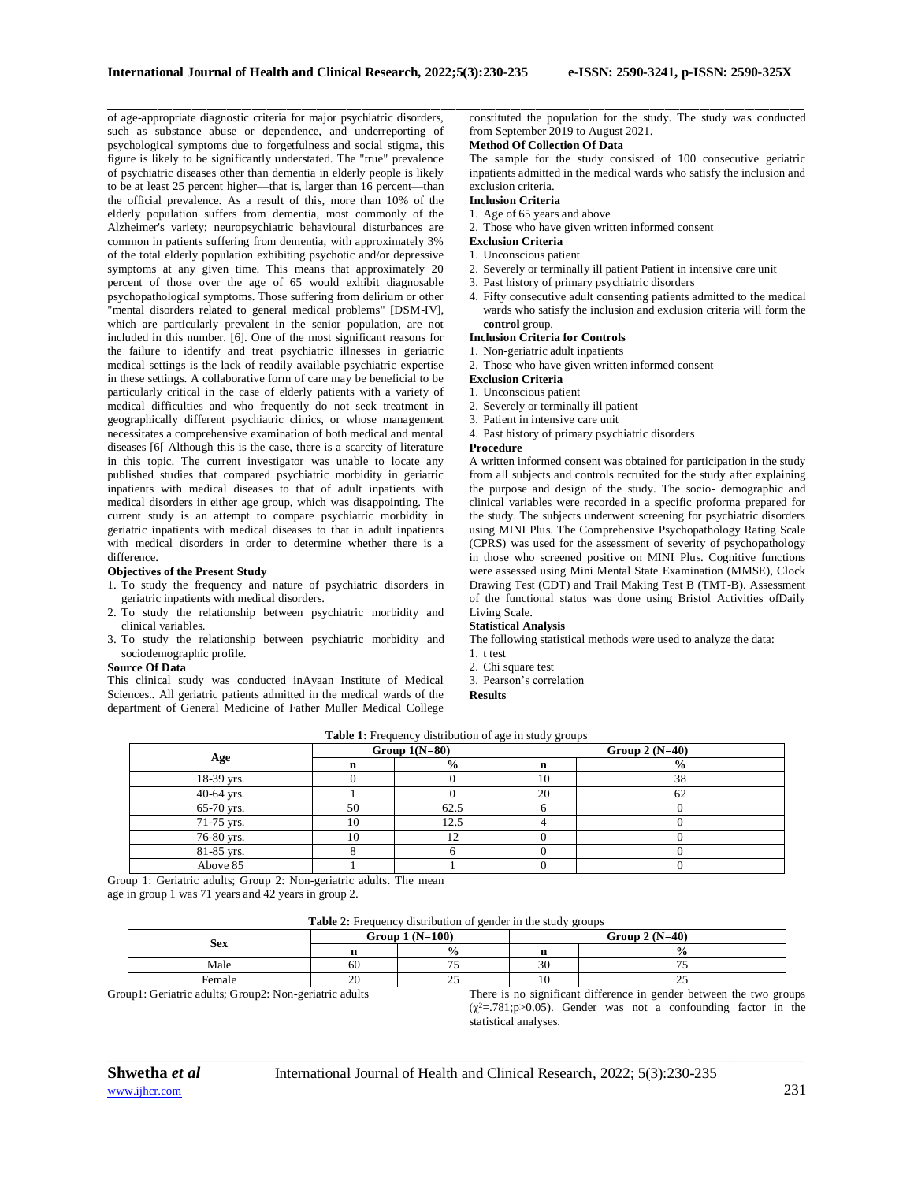\_\_\_\_\_\_\_\_\_\_\_\_\_\_\_\_\_\_\_\_\_\_\_\_\_\_\_\_\_\_\_\_\_\_\_\_\_\_\_\_\_\_\_\_\_\_\_\_\_\_\_\_\_\_\_\_\_\_\_\_\_\_\_\_\_\_\_\_\_\_\_\_\_\_\_\_\_\_\_\_\_\_\_\_\_\_\_\_\_\_\_\_\_\_\_\_\_\_\_\_\_\_\_\_\_\_\_\_\_\_\_\_\_\_\_\_\_\_\_\_\_\_\_\_\_\_\_\_\_\_\_\_\_\_\_\_\_\_\_\_ of age-appropriate diagnostic criteria for major psychiatric disorders, such as substance abuse or dependence, and underreporting of psychological symptoms due to forgetfulness and social stigma, this figure is likely to be significantly understated. The "true" prevalence of psychiatric diseases other than dementia in elderly people is likely to be at least 25 percent higher—that is, larger than 16 percent—than the official prevalence. As a result of this, more than 10% of the elderly population suffers from dementia, most commonly of the Alzheimer's variety; neuropsychiatric behavioural disturbances are common in patients suffering from dementia, with approximately 3% of the total elderly population exhibiting psychotic and/or depressive symptoms at any given time. This means that approximately 20 percent of those over the age of 65 would exhibit diagnosable psychopathological symptoms. Those suffering from delirium or other "mental disorders related to general medical problems" [DSM-IV], which are particularly prevalent in the senior population, are not included in this number. [6]. One of the most significant reasons for the failure to identify and treat psychiatric illnesses in geriatric medical settings is the lack of readily available psychiatric expertise in these settings. A collaborative form of care may be beneficial to be particularly critical in the case of elderly patients with a variety of medical difficulties and who frequently do not seek treatment in geographically different psychiatric clinics, or whose management necessitates a comprehensive examination of both medical and mental diseases [6[ Although this is the case, there is a scarcity of literature in this topic. The current investigator was unable to locate any published studies that compared psychiatric morbidity in geriatric inpatients with medical diseases to that of adult inpatients with medical disorders in either age group, which was disappointing. The current study is an attempt to compare psychiatric morbidity in geriatric inpatients with medical diseases to that in adult inpatients with medical disorders in order to determine whether there is a difference.

# **Objectives of the Present Study**

- 1. To study the frequency and nature of psychiatric disorders in geriatric inpatients with medical disorders.
- 2. To study the relationship between psychiatric morbidity and clinical variables.
- 3. To study the relationship between psychiatric morbidity and sociodemographic profile.

# **Source Of Data**

This clinical study was conducted inAyaan Institute of Medical Sciences.. All geriatric patients admitted in the medical wards of the department of General Medicine of Father Muller Medical College constituted the population for the study. The study was conducted from September 2019 to August 2021.

# **Method Of Collection Of Data**

The sample for the study consisted of 100 consecutive geriatric inpatients admitted in the medical wards who satisfy the inclusion and exclusion criteria.

# **Inclusion Criteria**

1. Age of 65 years and above

- 2. Those who have given written informed consent
- **Exclusion Criteria**
- 1. Unconscious patient
- 2. Severely or terminally ill patient Patient in intensive care unit
- 3. Past history of primary psychiatric disorders
	- 4. Fifty consecutive adult consenting patients admitted to the medical wards who satisfy the inclusion and exclusion criteria will form the **control** group.

#### **Inclusion Criteria for Controls**

- 1. Non-geriatric adult inpatients
- 2. Those who have given written informed consent

# **Exclusion Criteria**

- 1. Unconscious patient
- 2. Severely or terminally ill patient
- 3. Patient in intensive care unit

4. Past history of primary psychiatric disorders

#### **Procedure**

A written informed consent was obtained for participation in the study from all subjects and controls recruited for the study after explaining the purpose and design of the study. The socio- demographic and clinical variables were recorded in a specific proforma prepared for the study. The subjects underwent screening for psychiatric disorders using MINI Plus. The Comprehensive Psychopathology Rating Scale (CPRS) was used for the assessment of severity of psychopathology in those who screened positive on MINI Plus. Cognitive functions were assessed using Mini Mental State Examination (MMSE), Clock Drawing Test (CDT) and Trail Making Test B (TMT-B). Assessment of the functional status was done using Bristol Activities ofDaily Living Scale.

#### **Statistical Analysis**

The following statistical methods were used to analyze the data:

- 1. t test
- 2. Chi square test

3. Pearson's correlation

**Results**

| Table 1: Frequency distribution of age in study groups |    |                 |    |                  |  |  |  |  |
|--------------------------------------------------------|----|-----------------|----|------------------|--|--|--|--|
|                                                        |    | Group $1(N=80)$ |    | Group 2 $(N=40)$ |  |  |  |  |
| Age                                                    |    | $\frac{0}{0}$   | n  | $\frac{0}{0}$    |  |  |  |  |
| 18-39 yrs.                                             |    |                 | 10 | 38               |  |  |  |  |
| 40-64 yrs.                                             |    |                 | 20 | 62               |  |  |  |  |
| 65-70 yrs.                                             | 50 | 62.5            |    |                  |  |  |  |  |
| 71-75 yrs.                                             | 10 | 12.5            |    |                  |  |  |  |  |
| 76-80 yrs.                                             |    |                 |    |                  |  |  |  |  |
| 81-85 yrs.                                             |    |                 |    |                  |  |  |  |  |
| Above 85                                               |    |                 |    |                  |  |  |  |  |

Group 1: Geriatric adults; Group 2: Non-geriatric adults. The mean age in group 1 was 71 years and 42 years in group 2.

**Table 2:** Frequency distribution of gender in the study groups

| <b>Sex</b> |    | Group $1(N=100)$ | Group $2(N=40)$ |   |  |
|------------|----|------------------|-----------------|---|--|
|            |    | $\frac{0}{0}$    |                 |   |  |
| Male       | 60 | --               | $\sim$          |   |  |
| Female     | 20 | رے               |                 | ت |  |

*\_\_\_\_\_\_\_\_\_\_\_\_\_\_\_\_\_\_\_\_\_\_\_\_\_\_\_\_\_\_\_\_\_\_\_\_\_\_\_\_\_\_\_\_\_\_\_\_\_\_\_\_\_\_\_\_\_\_\_\_\_\_\_\_\_\_\_\_\_\_\_\_\_\_\_\_\_\_\_\_\_\_\_\_\_\_\_\_\_\_\_\_\_\_\_\_\_\_\_\_\_\_\_\_\_\_\_\_\_\_\_\_\_\_\_\_\_\_\_\_\_\_\_\_\_\_\_\_\_\_\_\_\_\_\_\_\_\_\_\_*

Group1: Geriatric adults; Group2: Non-geriatric adults There is no significant difference in gender between the two groups  $(\chi^2 = .781; p > 0.05)$ . Gender was not a confounding factor in the statistical analyses.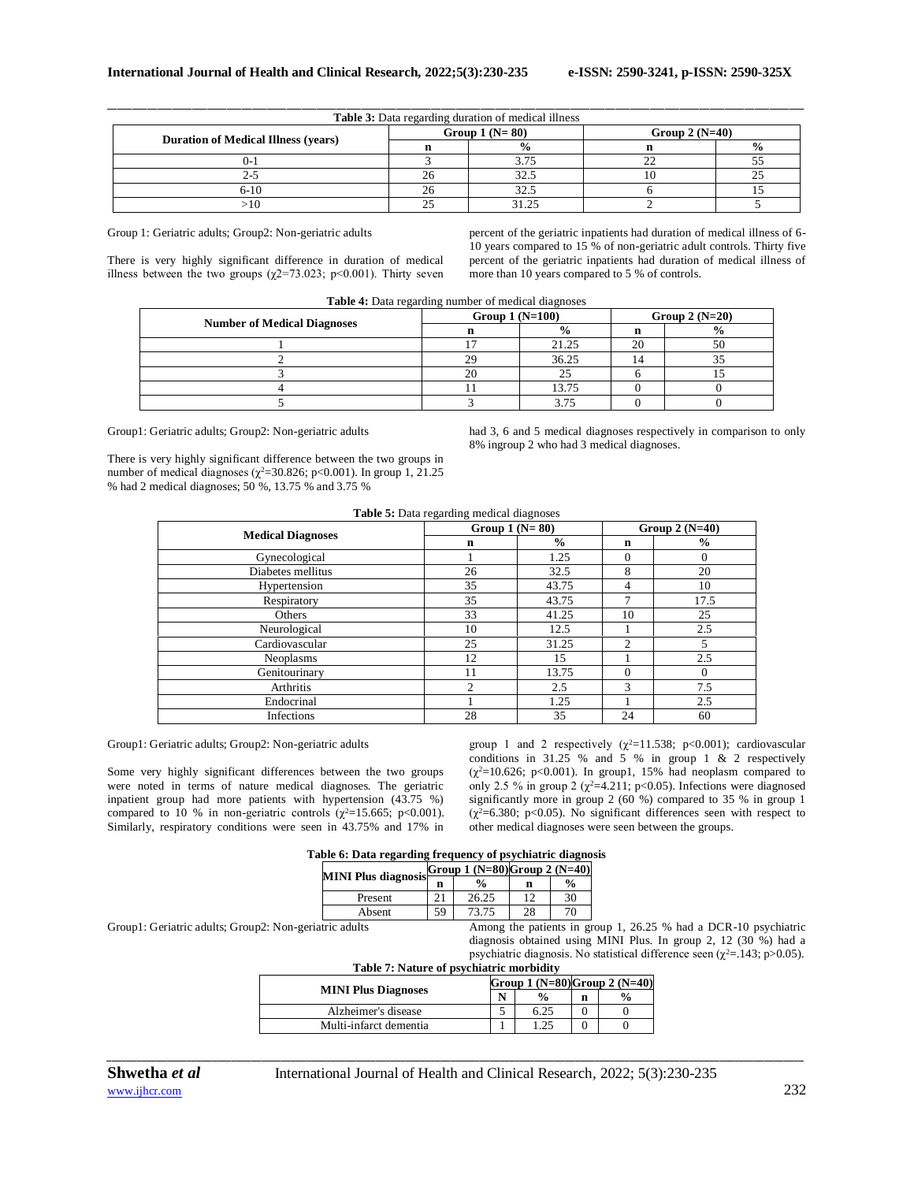| <b>Table 3:</b> Data regarding duration of medical illness |    |                 |                  |               |  |  |  |  |
|------------------------------------------------------------|----|-----------------|------------------|---------------|--|--|--|--|
|                                                            |    | Group $1(N=80)$ | Group 2 $(N=40)$ |               |  |  |  |  |
| <b>Duration of Medical Illness (years)</b>                 |    | $\frac{0}{0}$   |                  | $\frac{0}{0}$ |  |  |  |  |
| U- 1                                                       |    | 3.75            |                  |               |  |  |  |  |
|                                                            |    | 32.5            |                  |               |  |  |  |  |
| 6-10                                                       | 26 | 32.5            |                  |               |  |  |  |  |
|                                                            |    |                 |                  |               |  |  |  |  |

\_\_\_\_\_\_\_\_\_\_\_\_\_\_\_\_\_\_\_\_\_\_\_\_\_\_\_\_\_\_\_\_\_\_\_\_\_\_\_\_\_\_\_\_\_\_\_\_\_\_\_\_\_\_\_\_\_\_\_\_\_\_\_\_\_\_\_\_\_\_\_\_\_\_\_\_\_\_\_\_\_\_\_\_\_\_\_\_\_\_\_\_\_\_\_\_\_\_\_\_\_\_\_\_\_\_\_\_\_\_\_\_\_\_\_\_\_\_\_\_\_\_\_\_\_\_\_\_\_\_\_\_\_\_\_\_\_\_\_\_

Group 1: Geriatric adults; Group2: Non-geriatric adults

There is very highly significant difference in duration of medical illness between the two groups ( $\chi$ 2=73.023; p<0.001). Thirty seven percent of the geriatric inpatients had duration of medical illness of 6- 10 years compared to 15 % of non-geriatric adult controls. Thirty five percent of the geriatric inpatients had duration of medical illness of more than 10 years compared to 5 % of controls.

| Table 4: Data regarding number of medical diagnoses |  |  |
|-----------------------------------------------------|--|--|
|                                                     |  |  |

|                                    | Group $1(N=100)$ |               | Group 2 $(N=20)$ |               |  |
|------------------------------------|------------------|---------------|------------------|---------------|--|
| <b>Number of Medical Diagnoses</b> |                  | $\frac{0}{0}$ |                  | $\frac{0}{0}$ |  |
|                                    |                  | 21.25         | 20               | 50            |  |
|                                    |                  | 36.25         |                  |               |  |
|                                    | oc               | 25            |                  |               |  |
|                                    |                  | 13.75         |                  |               |  |
|                                    |                  | 3 75          |                  |               |  |

Group1: Geriatric adults; Group2: Non-geriatric adults

There is very highly significant difference between the two groups in number of medical diagnoses ( $\chi^2$ =30.826; p<0.001). In group 1, 21.25 % had 2 medical diagnoses; 50 %, 13.75 % and 3.75 %

had 3, 6 and 5 medical diagnoses respectively in comparison to only 8% ingroup 2 who had 3 medical diagnoses.

|                          | Group $1(N=80)$ |               | Group $2(N=40)$ |               |  |
|--------------------------|-----------------|---------------|-----------------|---------------|--|
| <b>Medical Diagnoses</b> | $\mathbf n$     | $\frac{0}{0}$ | n               | $\frac{0}{0}$ |  |
| Gynecological            |                 | 1.25          | $\Omega$        | 0             |  |
| Diabetes mellitus        | 26              | 32.5          | 8               | 20            |  |
| Hypertension             | 35              | 43.75         | 4               | 10            |  |
| Respiratory              | 35              | 43.75         | ⇁               | 17.5          |  |
| Others                   | 33              | 41.25         | 10              | 25            |  |
| Neurological             | 10              | 12.5          |                 | 2.5           |  |
| Cardiovascular           | 25              | 31.25         | $\mathfrak{D}$  |               |  |
| Neoplasms                | 12              | 15            |                 | 2.5           |  |
| Genitourinary            | 11              | 13.75         | $\Omega$        | $\Omega$      |  |
| Arthritis                | $\overline{c}$  | 2.5           | 3               | 7.5           |  |
| Endocrinal               |                 | 1.25          |                 | 2.5           |  |
| Infections               | 28              | 35            | 24              | 60            |  |

Group1: Geriatric adults; Group2: Non-geriatric adults

Some very highly significant differences between the two groups were noted in terms of nature medical diagnoses. The geriatric inpatient group had more patients with hypertension (43.75 %) compared to 10 % in non-geriatric controls ( $\chi^2$ =15.665; p<0.001). Similarly, respiratory conditions were seen in 43.75% and 17% in group 1 and 2 respectively  $(\chi^2=11.538; p<0.001)$ ; cardiovascular conditions in 31.25 % and 5 % in group 1 & 2 respectively  $(\chi^2=10.626; p<0.001)$ . In group1, 15% had neoplasm compared to only 2.5 % in group 2 ( $\chi^2$ =4.211; p<0.05). Infections were diagnosed significantly more in group 2 (60 %) compared to 35 % in group 1  $(\chi^2=6.380; \, p<0.05)$ . No significant differences seen with respect to other medical diagnoses were seen between the groups.

|  |  | Table 6: Data regarding frequency of psychiatric diagnosis |  |
|--|--|------------------------------------------------------------|--|
|  |  |                                                            |  |

|                            |    | Group 1 $(N=80)$ Group 2 $(N=40)$ |     |               |
|----------------------------|----|-----------------------------------|-----|---------------|
| <b>MINI Plus diagnosis</b> | n  | $\frac{6}{6}$                     | n   | $\frac{0}{0}$ |
| Present                    | 21 | 26.25                             | 1 ^ | 30            |
| Absent                     | 59 | 73.75                             | 28  | 70            |

Group1: Geriatric adults; Group2: Non-geriatric adults Among the patients in group 1, 26.25 % had a DCR-10 psychiatric diagnosis obtained using MINI Plus. In group 2, 12 (30 %) had a psychiatric diagnosis. No statistical difference seen ( $\chi^2$ =.143; p>0.05).

| Table 7: Nature of psychiatric morbidity |                                       |               |   |               |  |  |  |
|------------------------------------------|---------------------------------------|---------------|---|---------------|--|--|--|
|                                          | Group 1 ( $N=80$ ) Group 2 ( $N=40$ ) |               |   |               |  |  |  |
| <b>MINI Plus Diagnoses</b>               |                                       | $\frac{0}{n}$ | n | $\frac{0}{0}$ |  |  |  |
| Alzheimer's disease                      |                                       | 6.25          |   |               |  |  |  |
| Multi-infarct dementia                   |                                       | 1.25          |   |               |  |  |  |

*\_\_\_\_\_\_\_\_\_\_\_\_\_\_\_\_\_\_\_\_\_\_\_\_\_\_\_\_\_\_\_\_\_\_\_\_\_\_\_\_\_\_\_\_\_\_\_\_\_\_\_\_\_\_\_\_\_\_\_\_\_\_\_\_\_\_\_\_\_\_\_\_\_\_\_\_\_\_\_\_\_\_\_\_\_\_\_\_\_\_\_\_\_\_\_\_\_\_\_\_\_\_\_\_\_\_\_\_\_\_\_\_\_\_\_\_\_\_\_\_\_\_\_\_\_\_\_\_\_\_\_\_\_\_\_\_\_\_\_\_*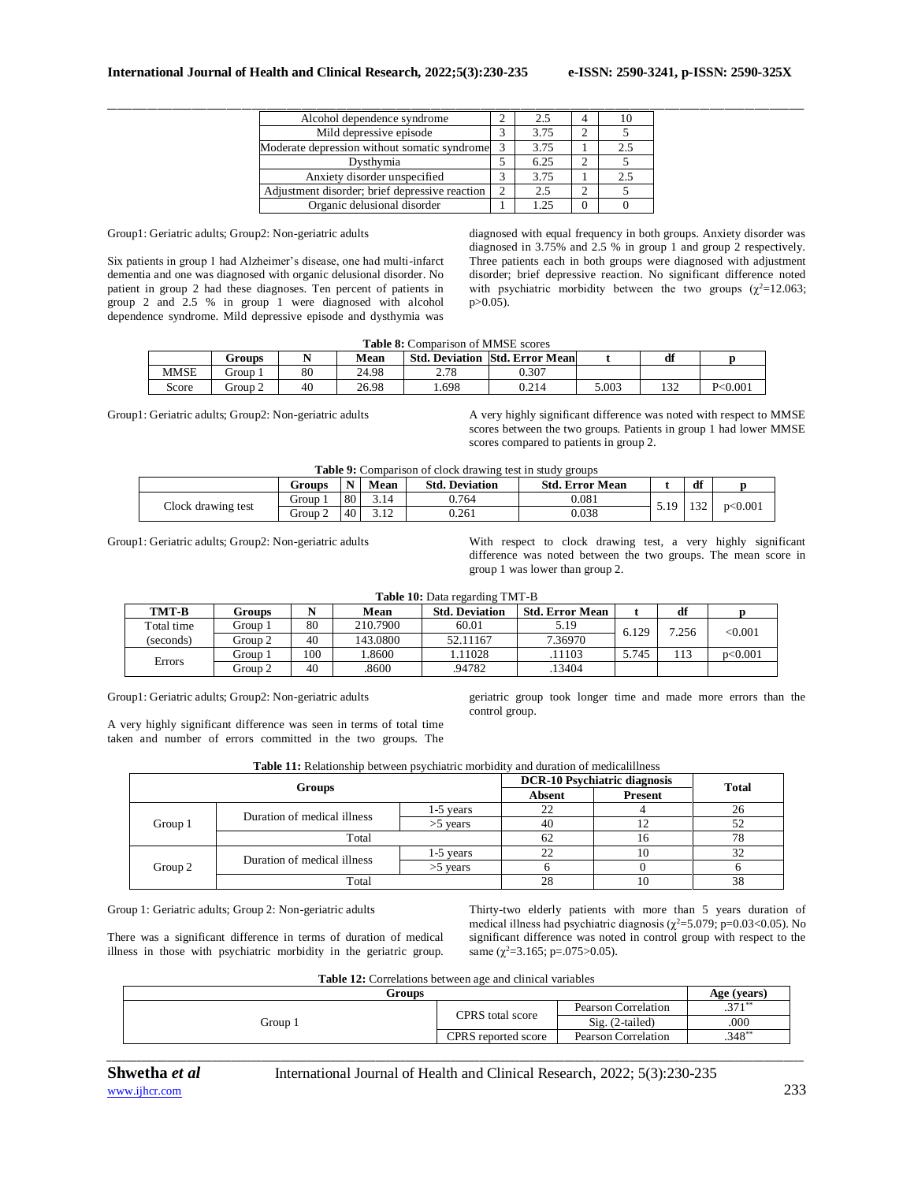| Alcohol dependence syndrome                    |   |      | 10 |
|------------------------------------------------|---|------|----|
| Mild depressive episode                        | ◡ | 3.75 |    |
| Moderate depression without somatic syndrome   |   | 3.75 |    |
| Dysthymia                                      | ◡ | 6.25 |    |
| Anxiety disorder unspecified                   | J | 3.75 |    |
| Adjustment disorder; brief depressive reaction |   |      |    |
| Organic delusional disorder                    |   |      |    |

Group1: Geriatric adults; Group2: Non-geriatric adults

Six patients in group 1 had Alzheimer's disease, one had multi-infarct dementia and one was diagnosed with organic delusional disorder. No patient in group 2 had these diagnoses. Ten percent of patients in group 2 and 2.5 % in group 1 were diagnosed with alcohol dependence syndrome. Mild depressive episode and dysthymia was

diagnosed with equal frequency in both groups. Anxiety disorder was diagnosed in 3.75% and 2.5 % in group 1 and group 2 respectively. Three patients each in both groups were diagnosed with adjustment disorder; brief depressive reaction. No significant difference noted with psychiatric morbidity between the two groups ( $\chi^2$ =12.063; p>0.05).

### **Table 8:** Comparison of MMSE scores

|       | Groups  |             | Mean  | <b>Std. Deviation</b> | <b>Std. Error Mean</b> |       | df              |           |  |  |
|-------|---------|-------------|-------|-----------------------|------------------------|-------|-----------------|-----------|--|--|
| MMSE  | Group   | $_{\rm 80}$ | 24.98 | 270<br>2.10           | 0.307                  |       |                 |           |  |  |
| Score | Group 2 | 40          | 26.98 | . 698                 | 0.214                  | 5.003 | $\sim$<br>1 J Z | P < 0.001 |  |  |

Group1: Geriatric adults; Group2: Non-geriatric adults A very highly significant difference was noted with respect to MMSE scores between the two groups. Patients in group 1 had lower MMSE scores compared to patients in group 2.

|  |  | <b>Table 9:</b> Comparison of clock drawing test in study groups |  |  |
|--|--|------------------------------------------------------------------|--|--|
|--|--|------------------------------------------------------------------|--|--|

|                    | Groups  |    | Mean            | <b>Std. Deviation</b> | <b>Std. Error Mean</b> |     | df    |         |
|--------------------|---------|----|-----------------|-----------------------|------------------------|-----|-------|---------|
|                    | Group.  | 80 | 3.14            | 0.764                 | $_{0.081}$             | 519 | 1.22  | p<0.001 |
| Clock drawing test | Group 2 | 40 | 2.12<br>ے ۔ ۔ ب | 0.261                 | 0.038                  | .   | 1 J 4 |         |

Group1: Geriatric adults; Group2: Non-geriatric adults With respect to clock drawing test, a very highly significant difference was noted between the two groups. The mean score in group 1 was lower than group 2.

|  |  |  |  | Table 10: Data regarding TMT-B |  |
|--|--|--|--|--------------------------------|--|
|--|--|--|--|--------------------------------|--|

| TMT-B      | Groups  |     | Mean     | <b>Std. Deviation</b> | <b>Std. Error Mean</b> |       | df    |         |
|------------|---------|-----|----------|-----------------------|------------------------|-------|-------|---------|
| Total time | Group 1 | 80  | 210.7900 | 60.01                 | 5.19                   | 6.129 | 7.256 | < 0.001 |
| (seconds)  | Group 2 | 40  | 143.0800 | 52.11167              | 7.36970                |       |       |         |
|            | Group 1 | 100 | .8600    | .11028                | .11103                 | 5.745 | 113   | p<0.001 |
| Errors     | Group 2 | 40  | 8600     | 94782                 | .13404                 |       |       |         |

Group1: Geriatric adults; Group2: Non-geriatric adults

geriatric group took longer time and made more errors than the control group.

A very highly significant difference was seen in terms of total time taken and number of errors committed in the two groups. The

**Table 11:** Relationship between psychiatric morbidity and duration of medicalillness

|         | <b>Groups</b>               | <b>DCR-10 Psychiatric diagnosis</b> | <b>Total</b> |                |    |
|---------|-----------------------------|-------------------------------------|--------------|----------------|----|
|         |                             |                                     | Absent       | <b>Present</b> |    |
|         | Duration of medical illness | 1-5 vears                           |              |                |    |
| Group 1 |                             | $>5$ vears                          | 40           |                | 52 |
|         | Total                       |                                     | 62           | 10             | 78 |
|         | Duration of medical illness | 1-5 vears                           |              | 10             | 32 |
| Group 2 |                             | $>5$ years                          |              |                |    |
|         | Total                       |                                     | 28           | 10             | 38 |

Group 1: Geriatric adults; Group 2: Non-geriatric adults

Thirty-two elderly patients with more than 5 years duration of medical illness had psychiatric diagnosis ( $\chi^2$ =5.079; p=0.03<0.05). No significant difference was noted in control group with respect to the same  $(\chi^2=3.165; \, p=.075>0.05)$ .

There was a significant difference in terms of duration of medical illness in those with psychiatric morbidity in the geriatric group.

**Table 12:** Correlations between age and clinical variables

|                     |                     | Age (years) |
|---------------------|---------------------|-------------|
|                     | Pearson Correlation | $371**$     |
|                     | $Sig. (2-tailed)$   | .000        |
| CPRS reported score | Pearson Correlation | $.348**$    |
|                     | CPRS total score    |             |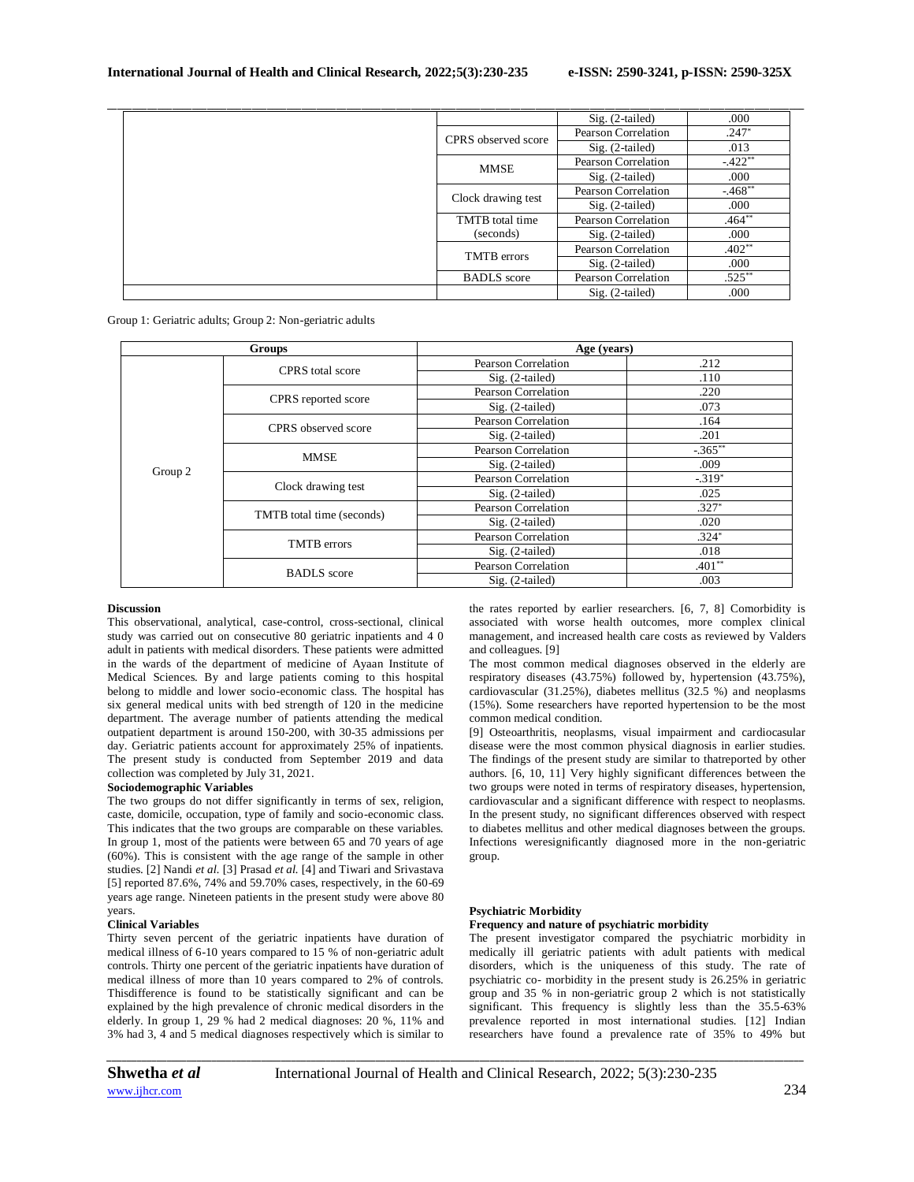|                     | Sig. (2-tailed)     | .000     |
|---------------------|---------------------|----------|
| CPRS observed score | Pearson Correlation | $.247*$  |
|                     | $Sig. (2-tailed)$   | .013     |
| <b>MMSE</b>         | Pearson Correlation | $-422**$ |
|                     | $Sig. (2-tailed)$   | .000     |
| Clock drawing test  | Pearson Correlation | $-468**$ |
|                     | $Sig. (2-tailed)$   | .000     |
| TMTB total time     | Pearson Correlation | $.464**$ |
| (seconds)           | $Sig. (2-tailed)$   | .000     |
| <b>TMTB</b> errors  | Pearson Correlation | $.402**$ |
|                     | $Sig. (2-tailed)$   | .000     |
| <b>BADLS</b> score  | Pearson Correlation | $.525**$ |
|                     | $Sig. (2-tailed)$   | .000     |

Group 1: Geriatric adults; Group 2: Non-geriatric adults

| Groups  |                           | Age (years)         |            |
|---------|---------------------------|---------------------|------------|
|         | <b>CPRS</b> total score   | Pearson Correlation | .212       |
|         |                           | $Sig. (2-tailed)$   | .110       |
|         |                           | Pearson Correlation | .220       |
|         | CPRS reported score       | $Sig. (2-tailed)$   | .073       |
|         | CPRS observed score       | Pearson Correlation | .164       |
|         |                           | $Sig. (2-tailed)$   | .201       |
|         | MMSE                      | Pearson Correlation | $-.365***$ |
|         |                           | $Sig. (2-tailed)$   | .009       |
| Group 2 |                           | Pearson Correlation | $-319*$    |
|         | Clock drawing test        | $Sig. (2-tailed)$   | .025       |
|         |                           | Pearson Correlation | $.327*$    |
|         | TMTB total time (seconds) | $Sig. (2-tailed)$   | .020       |
|         | <b>TMTB</b> errors        | Pearson Correlation | $.324*$    |
|         |                           | $Sig. (2-tailed)$   | .018       |
|         | <b>BADLS</b> score        | Pearson Correlation | $.401**$   |
|         |                           | $Sig. (2-tailed)$   | .003       |

### **Discussion**

This observational, analytical, case-control, cross-sectional, clinical study was carried out on consecutive 80 geriatric inpatients and 4 0 adult in patients with medical disorders. These patients were admitted in the wards of the department of medicine of Ayaan Institute of Medical Sciences. By and large patients coming to this hospital belong to middle and lower socio-economic class. The hospital has six general medical units with bed strength of 120 in the medicine department. The average number of patients attending the medical outpatient department is around 150-200, with 30-35 admissions per day. Geriatric patients account for approximately 25% of inpatients. The present study is conducted from September 2019 and data collection was completed by July 31, 2021.

# **Sociodemographic Variables**

The two groups do not differ significantly in terms of sex, religion, caste, domicile, occupation, type of family and socio-economic class. This indicates that the two groups are comparable on these variables. In group 1, most of the patients were between 65 and 70 years of age (60%). This is consistent with the age range of the sample in other studies. [2] Nandi *et al.* [3] Prasad *et al.* [4] and Tiwari and Srivastava [5] reported 87.6%, 74% and 59.70% cases, respectively, in the 60-69 years age range. Nineteen patients in the present study were above 80 years.

#### **Clinical Variables**

Thirty seven percent of the geriatric inpatients have duration of medical illness of 6-10 years compared to 15 % of non-geriatric adult controls. Thirty one percent of the geriatric inpatients have duration of medical illness of more than 10 years compared to 2% of controls. Thisdifference is found to be statistically significant and can be explained by the high prevalence of chronic medical disorders in the elderly. In group 1, 29 % had 2 medical diagnoses: 20 %, 11% and 3% had 3, 4 and 5 medical diagnoses respectively which is similar to

*\_\_\_\_\_\_\_\_\_\_\_\_\_\_\_\_\_\_\_\_\_\_\_\_\_\_\_\_\_\_\_\_\_\_\_\_\_\_\_\_\_\_\_\_\_\_\_\_\_\_\_\_\_\_\_\_\_\_\_\_\_\_\_\_\_\_\_\_\_\_\_\_\_\_\_\_\_\_\_\_\_\_\_\_\_\_\_\_\_\_\_\_\_\_\_\_\_\_\_\_\_\_\_\_\_\_\_\_\_\_\_\_\_\_\_\_\_\_\_\_\_\_\_\_\_\_\_\_\_\_\_\_\_\_\_\_\_\_\_\_*

the rates reported by earlier researchers. [6, 7, 8] Comorbidity is associated with worse health outcomes, more complex clinical management, and increased health care costs as reviewed by Valders and colleagues. [9]

The most common medical diagnoses observed in the elderly are respiratory diseases (43.75%) followed by, hypertension (43.75%), cardiovascular (31.25%), diabetes mellitus (32.5 %) and neoplasms (15%). Some researchers have reported hypertension to be the most common medical condition.

[9] Osteoarthritis, neoplasms, visual impairment and cardiocasular disease were the most common physical diagnosis in earlier studies. The findings of the present study are similar to thatreported by other authors. [6, 10, 11] Very highly significant differences between the two groups were noted in terms of respiratory diseases, hypertension, cardiovascular and a significant difference with respect to neoplasms. In the present study, no significant differences observed with respect to diabetes mellitus and other medical diagnoses between the groups. Infections weresignificantly diagnosed more in the non-geriatric group.

# **Psychiatric Morbidity**

# **Frequency and nature of psychiatric morbidity**

The present investigator compared the psychiatric morbidity in medically ill geriatric patients with adult patients with medical disorders, which is the uniqueness of this study. The rate of psychiatric co- morbidity in the present study is 26.25% in geriatric group and 35 % in non-geriatric group 2 which is not statistically significant. This frequency is slightly less than the 35.5-63% prevalence reported in most international studies. [12] Indian researchers have found a prevalence rate of 35% to 49% but